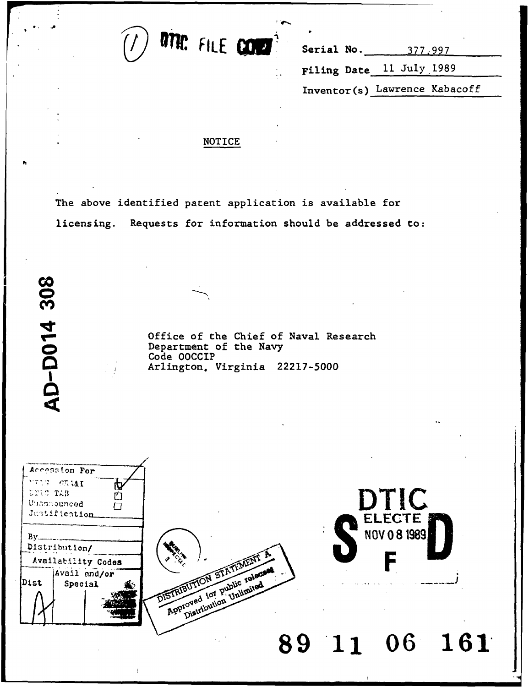

Filing Date **11** July 1989 Inventor(s) Lawrence Kabacoff

## NOTICE

The above identified patent application is available for licensing. Requests for information should be addressed to:

> Office of the Chief of Naval Research **o** Department of the Navy Code OOCCIP Arlington. Virginia **22217-5000**

**AD-D014 308** 

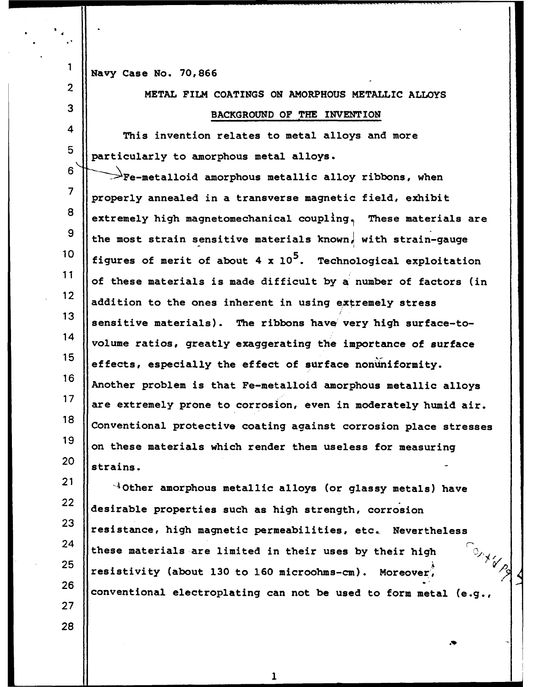**1** Navy Case No. **70,866**

2 METAL FILM COATINGS **ON** AMORPHOUS METALLIC ALLOYS **3 BACKGROUND OF** THE INVENTION

4 This invention relates to metal alloys and more particularly to amorphous metal alloys.

  $\rightarrow$  Fe-metalloid amorphous metallic alloy ribbons, when properly annealed in a transverse magnetic field, exhibit **extremely** high magnetomechanical coupling, These materials are 9 || the most strain sensitive materials known, with strain-gauge figures of merit of about 4 x **105.** Technological exploitation of these materials is made difficult **by** a number of factors (in 12 addition to the ones inherent in using extremely stress 13 || sensitive materials). The ribbons have very high surface-to- $\frac{14}{14}$  volume ratios, greatly exaggerating the importance of surface **effects, especially the effect of surface nonuniformity.** Another problem is that Fe-metalloid amorphous metallic alloys  $\parallel$  are extremely prone to corrosion, even in moderately humid air. 18 Conventional protective coating against corrosion place stresses on these materials which render them useless for measuring  $\parallel$  strains.

 $21$  $4$ Other amorphous metallic alloys (or glassy metals) have 22 desirable properties such as high strength, corrosion 23 || resistance, high magnetic permeabilities, etc. Nevertheless 24 these materials are limited in their uses by their high  $\partial_{\gamma_{\chi_{\nu}}}$ **25** conventivity (about 130 to 160 microohms-cm). Moreover,<br>26 conventional electroplating can not be used to form metal (e.g.,

 $\mathbf{1}$ 

**28**

**27**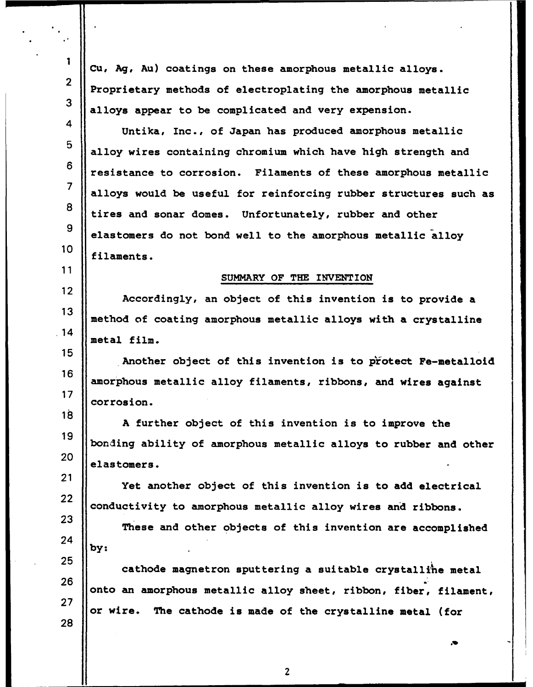**Cu, Ag, Au)** coatings on these amorphous metallic alloys. Proprietary methods of electroplating the amorphous metallic alloys appear to be complicated and very expension. Untika, Inc., of Japan has produced amorphous metallic alloy wires containing chromium which have high strength and resistance to corrosion. Filaments of these amorphous metallic alloys would be useful for reinforcing rubber structures such as tires and sonar domes. Unfortunately, rubber and other elastomers do not bond well to the amorphous metallic alloy filaments. SUMMARY OF THE INVENTION Accordingly, an object of this invention is to provide a method of coating amorphous metallic alloys with a crystalline  $\vert$ .14  $\vert$  metal film. Another object of this invention is to protect Fe-metalloid amorphous metallic alloy filaments, ribbons, and wires against 17 | corrosion. **<sup>A</sup>**further object of this invention is to improve the bonding ability of amorphous metallic alloys to rubber and other elastomers. Yet another object of this invention is to add electrical **conductivity to amorphous metallic alloy wires and ribbons.**  These and other objects of this invention are accomplished **by: cathode magnetron sputtering a suitable crystalline metal**  onto an amorphous metallic alloy sheet, ribbon, fiber, filament, or wire. The cathode is made of the crystalline metal (for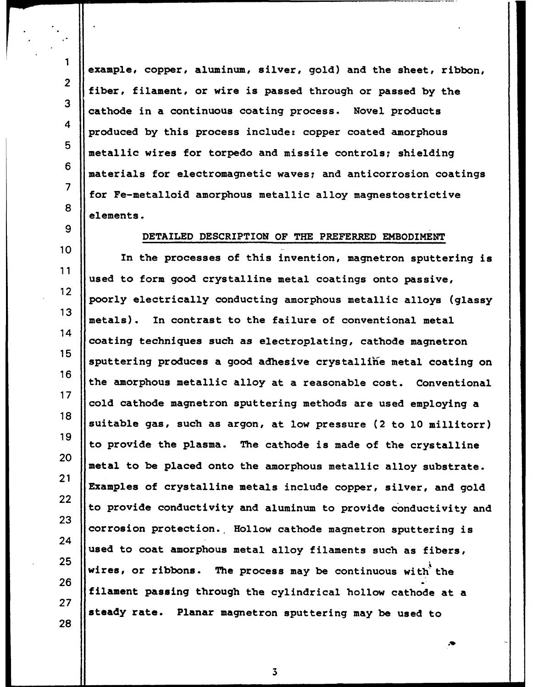example, copper, aluminum, silver, gold) and the sheet, ribbon, fiber, filament, or wire is passed through or passed **by** the cathode in a continuous coating process. Novel products produced **by** this process include: copper coated amorphous metallic wires for torpedo and missile controls; shielding materials for electromagnetic waves; and anticorrosion coatings for Fe-metalloid amorphous metallic alloy magnestostrictive elements.

 $\mathbf{1}$ 

## DETAILED DESCRIPTION OF THE PREFERRED EMBODIMENT

 In the processes of this invention, magnetron sputtering is used to form good crystalline metal coatings onto passive, poorly electrically conducting amorphous metallic alloys (glassy metals). In contrast to the failure of conventional metal 14 coating techniques such as electroplating, cathode magnetron<br>15 sputtering produces a good adhesive crystalline metal coating on the amorphous metallic alloy at a reasonable cost. Conventional cold cathode magnetron sputtering methods are used employing a 18 || suitable gas, such as argon, at low pressure (2 to 10 millitorr) to provide the plasma. The cathode is made of the crystalline  $\parallel$  metal to be placed onto the amorphous metallic alloy substrate. Examples of crystalline metals include copper, silver, and gold to provide conductivity and aluminum to provide conductivity and 23 corrosion protection. Hollow cathode magnetron sputtering is used to coat amorphous metal alloy filaments such as fibers,  $\omega$  wires, or ribbons. The process may be continuous with the filament passing through the cylindrical hollow cathode at a steady rate. Planar magnetron sputtering may be used to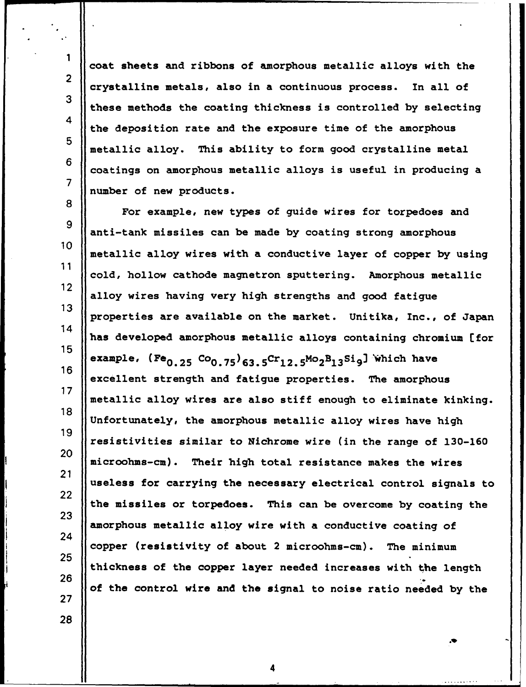coat sheets and ribbons of amorphous metallic alloys with the crystalline metals, also in a continuous process. In all of these methods the coating thickness is controlled **by** selecting the deposition rate and the exposure time of the amorphous metallic alloy. This ability to form good crystalline metal coatings on amorphous metallic alloys is useful in producing a number of new products.

**8** For example, new types of guide wires for torpedoes and <sup>9</sup> anti-tank missiles can be made **by** coating strong amorphous **10** metallic alloy wires with a conductive layer of copper **by** using **11** cold, hollow cathode magnetron sputtering. Amorphous metallic 12 alloy wires having very high strengths and good fatigue **13** properties are available on the market. Unitika, Inc., of Japan 14 has developed amorphous metallic alloys containing chromium [for 15 example, (Fe<sub>0.25</sub> Co<sub>0.75</sub>)<sub>63.5</sub>Cr<sub>12.5</sub>Mo<sub>2</sub>B<sub>13</sub>Si<sub>9</sub>] which have 16 excellent strength and fatigue properties. The amorphous **17** metallic alloy wires are also stiff enough to eliminate kinking. **18** Unfortunately, the amorphous metallic alloy wires have high **19** resistivities similar to Nichrome wire (in the range of **130-160 <sup>20</sup>** microohms-cm). Their high total resistance makes the wires 21 useless for carrying the necessary electrical control signals to 22 the missiles or torpedoes. This can be overcome **by** coating the **23** amorphous metallic alloy wire with a conductive coating of 24 copper (resistivity of about 2 microohms-cm). The minimum **25** thickness of the copper layer needed increases with the length **26** of the control wire and the signal to noise ratio needed **by** the **27**

4

1

2

**3**

4

**5**

**6**

**7**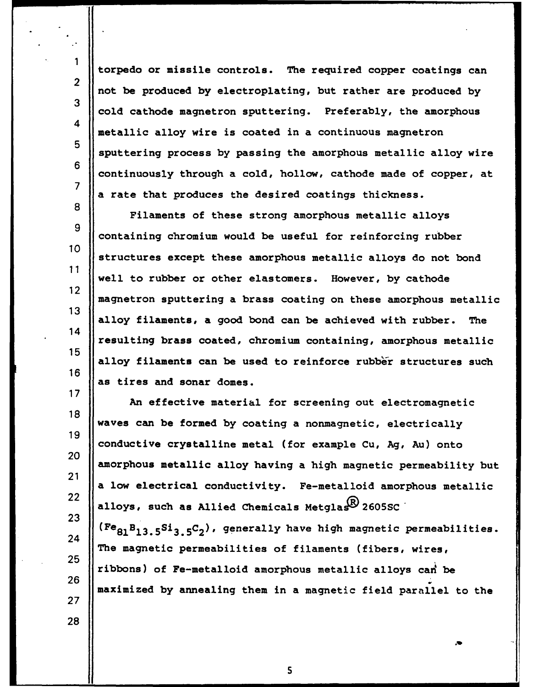torpedo or missile controls. The required copper coatings can not be produced **by** electroplating, but rather are produced **by** 3 cold cathode magnetron sputtering. Preferably, the amorphous metallic alloy wire is coated in a continuous magnetron 5 Supportering process by passing the amorphous metallic alloy wire **<sup>6</sup>** continuously through a cold, hollow, cathode made of copper, at a rate that produces the desired coatings thickness.

**8** Filaments of these strong amorphous metallic alloys<br>9 containing chromium would be useful for reinforcing rubber **10** structures except these amorphous metallic alloys do not bond **11** well to rubber or other elastomers. However, **by** cathode 12 magnetron sputtering a brass coating on these amorphous metallic **13** alloy filaments, a good bond can be achieved with rubber. The 14 resulting brass coated, chromium containing, amorphous metallic **<sup>15</sup>** alloy filaments can be used to reinforce rubber structures such **16** as tires and sonar domes.

An effective material for screening out electromagnetic **18** waves can be formed **by** coating a nonmagnetic, electrically **19** conductive crystalline metal (for example Cu, **Ag,** Au) onto 20 amorphous metallic alloy having a high magnetic permeability but 21 a low electrical conductivity. Fe-metalloid amorphous metallic **22 alloys**, such as Allied Chemicals Metglas<sup>2</sup> 2605SC **23**  $\begin{bmatrix} 1 \ 24 \end{bmatrix}$  (Fe<sub>81</sub>B<sub>13.5</sub>S<sub>13.5</sub>C<sub>2</sub>), generally have high magnetic permeabilities. The magnetic permeabilities of filaments (fibers, wires,  $25 \n\begin{array}{|l|}\n\hline\n\end{array}$  ribbons) of Fe-metalloid amorphous metallic alloys can<sup>1</sup> be **26**

maximized **by** annealing them in a magnetic field parallel to the

**5**

28

**27**

**1**

2

4

**7**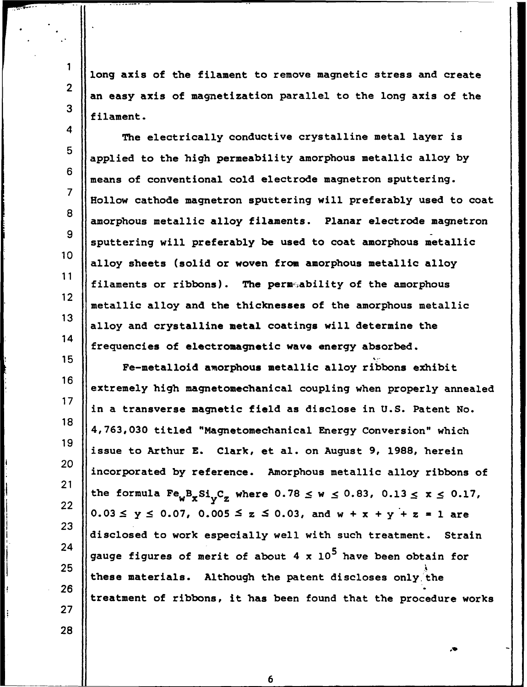long axis of the filament to remove magnetic stress and create an easy axis of magnetization parallel to the long axis **of** the filament.

4 The electrically conductive crystalline metal layer is **<sup>5</sup>** applied to the **high** permeability amorphous metallic alloy **by** means of conventional cold electrode magnetron sputtering. Hollow cathode magnetron sputtering will preferably used to coat **<sup>8</sup>** amorphous metallic alloy filaments. Planar electrode magnetron sputtering will preferably be used to coat amorphous metallic **<sup>10</sup>** alloy sheets (solid or woven from amorphous metallic alloy filaments or ribbons). The permability of the amorphous **<sup>12</sup>** metallic alloy and the thicknesses of the amorphous metallic 13 alloy and crystalline metal coatings will determine the  $\left\| \cdot \right\|$  frequencies of electromagnetic wave energy absorbed.

**<sup>15</sup>1** Fe-metalloid amorphous metallic alloy ribbons exhibit 16 ||<br>| extremely high magnetomechanical coupling when properly annealed **<sup>17</sup>** in a transverse magnetic field as disclose in **U.S.** Patent No. **<sup>18</sup> 4,763,030** titled "Magnetomechanical Energy Conversion" which <sup>19</sup> issue to Arthur **E.** Clark, et al. on August **9, 1988,** herein <sup>20</sup> incorporated **by** reference. Amorphous metallic alloy ribbons of 21  $\left\| \text{the formula } \text{Fe}_{w} \text{B}_{x} \text{Si}_{v} \text{C}_{z} \text{ where } 0.78 \leq w \leq 0.83, 0.13 \leq x \leq 0.17, \right\|$  $0.03 \le y \le 0.07$ ,  $0.005 \le z \le 0.03$ , and  $w + x + y + z = 1$  are disclosed to work especially well with such treatment. Strain **245** gauge figures of merit of about 4 x **<sup>105</sup>**have been obtain for these materials. Although the patent discloses only the treatment of ribbons, it has been found that the procedure works

**6**

**27**

22

**23**

**25**

**26**

2

1

**3**

**6**

**7**

**9**

**11**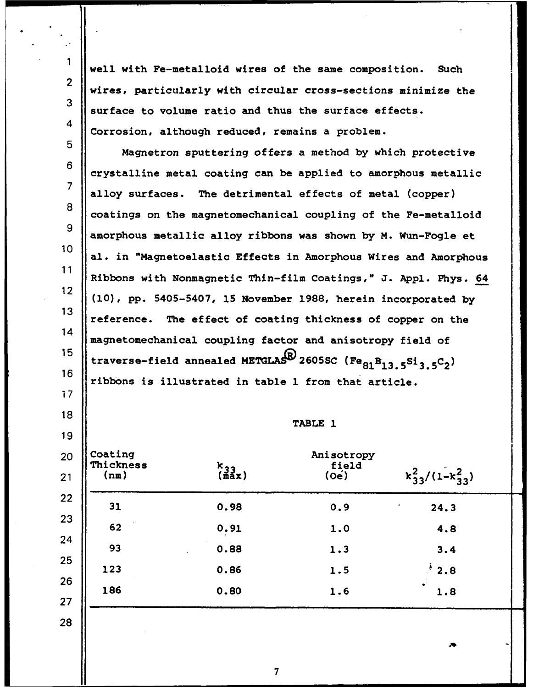well with Fe-metalloid wires of the same composition. Such wires, particularly with circular cross-sections minimize the  $\parallel$  surface to volume ratio and thus the surface effects. Corrosion, although reduced, remains a problem.

 Magnetron sputtering offers a method **by** which protective crystalline metal coating can be applied to amorphous metallic alloy surfaces. The detrimental effects of metal (copper) 8 coatings on the magnetomechanical coupling of the Fe-metalloid amorphous metallic alloy ribbons was shown **by** M. Wun-Fogle et al. in "Magnetoelastic Effects in Amorphous Wires and Amorphous Ribbons with Nonmagnetic Thin-film Coatings," **J. Appl.** Phys. 64 **(10), pp.** 5405-5407, **15** November **1988,** herein incorporated **by** 13 Teference. The effect of coating thickness of copper on the 14 magnetomechanical coupling factor and anisotropy field of 15 **traverse-field annealed METGLAS<sup>B</sup>** 2605SC (Fe<sub>81</sub>B<sub>13.5</sub>Si<sub>3.5</sub>C<sub>2</sub>)</sup> ribbons is illustrated in table **1** from that article.

TABLE **1**

| Coating<br>Thickness<br>(nm) | $k_{33}$<br>(max) | Anisotropy<br>field<br>$(0e)$ | $k_{33}^2/(1-k_{33}^2)$ |
|------------------------------|-------------------|-------------------------------|-------------------------|
| 31                           | 0.98              | 0.9                           | 24.3                    |
| 62                           | 0.91              | 1.0                           | 4.8                     |
| 93                           | 0.88              | 1.3                           | 3.4                     |
| 123                          | 0.86              | 1.5                           | $^{\ast}$ 2.8           |
| 186                          | 0.80              | 1.6                           | 1.8                     |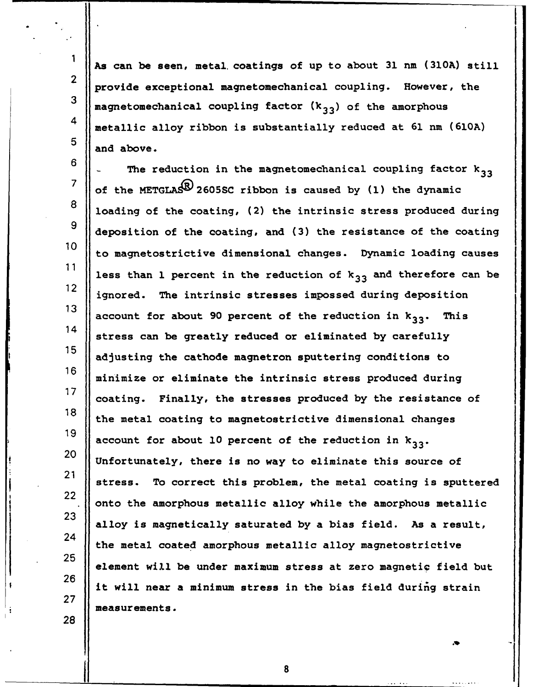**As** can be seen, metal coatings of up to about **31 rnm (310A)** still provide exceptional magnetomechanical coupling. However, the **3** magnetomechanical coupling factor **(k3 <sup>3</sup> )** of the amorphous 4 metallic alloy ribbon is substantially reduced at **61** nm **(610A)**  $\begin{array}{|c|c|}\n5 & \text{and above.}\n\end{array}$ 

2

1

**27**

**28**

 $\begin{bmatrix} 6 \end{bmatrix}$  The reduction in the magnetomechanical coupling factor  $\mathbf{k}_{33}$ *<sup>7</sup>*of the **METGLAS2605SC** ribbon is caused **by (1)** the dynamic **8** loading of the coating, (2) the intrinsic stress produced during 9 deposition of the coating, and **(3)** the resistance of the coating **<sup>10</sup>** to magnetostrictive dimensional changes. Dynamic loading causes 11 **less than 1 percent in the reduction of**  $k_{33}$  **and therefore can be** 12 is the intrinsic stresses imposed during deposition <sup>12</sup> ignored. The intrinsic stresses impossed during deposition<br>13 account for about 90 percent of the reduction in  $k_{33}$ . This **<sup>14</sup>** stress can be greatly reduced or eliminated **by** carefully **15** adjusting the cathode magnetron sputtering conditions to **16** minimize or eliminate the intrinsic stress produced during **17** coating. Finally, the stresses produced **by** the resistance of **18** the metal coating to magnetostrictive dimensional changes **19** account for about **10** percent of the reduction in **k3 3. 20** Unifortunately, the is no wave to the electron of this source of the source of the source of the source of the source of the source of the source of the source of the source of the source of the source of the source o <sup>27</sup> Unfortunately, there is no way to eliminate this source of<br>21 stress. To correct this problem, the metal coating is sputtered 22 onto the amorphous metallic alloy while the amorphous metallic **23** alloy is magnetically saturated **by** a bias field. As a result, 24 the metal coated amorphous metallic alloy magnetostrictive<br>25 element will be under maximum stress at zero magnetic field but **<sup>26</sup>** it will near a minimum stress in the bias field during strain measurements.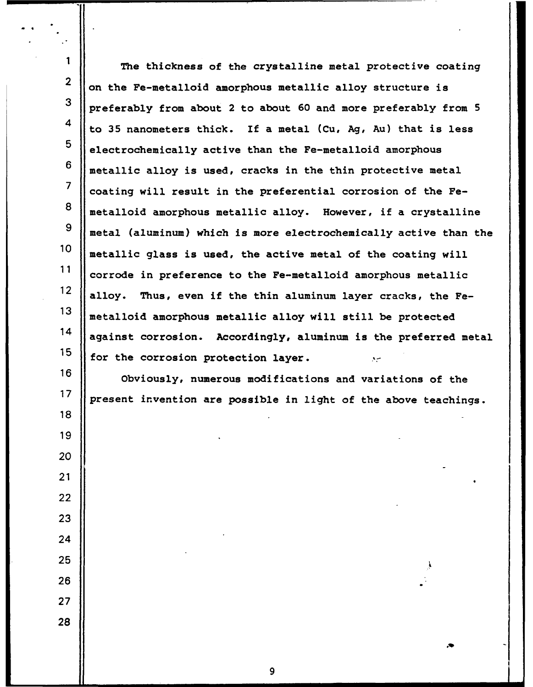| 1                | The thickness of the crystalline metal protective coating         |
|------------------|-------------------------------------------------------------------|
| $\boldsymbol{2}$ | on the Fe-metalloid amorphous metallic alloy structure is         |
| 3                | preferably from about 2 to about 60 and more preferably from 5    |
| 4                | to 35 nanometers thick. If a metal (Cu, Ag, Au) that is less      |
| 5                | electrochemically active than the Fe-metalloid amorphous          |
| 6                | metallic alloy is used, cracks in the thin protective metal       |
| $\overline{7}$   | coating will result in the preferential corrosion of the Fe-      |
| 8                | metalloid amorphous metallic alloy. However, if a crystalline     |
| $\boldsymbol{9}$ | metal (aluminum) which is more electrochemically active than the  |
| 10               | metallic glass is used, the active metal of the coating will      |
| 11               | corrode in preference to the Fe-metalloid amorphous metallic      |
| 12               | alloy. Thus, even if the thin aluminum layer cracks, the Fe-      |
| 13               | metalloid amorphous metallic alloy will still be protected        |
| 14               | against corrosion. Accordingly, aluminum is the preferred metal   |
| 15               | for the corrosion protection layer.                               |
| 16               | $\sim$<br>Obviously, numerous modifications and variations of the |
| 17               | present invention are possible in light of the above teachings.   |
| 18               |                                                                   |
| 19               |                                                                   |
| 20               |                                                                   |
| 21               |                                                                   |
| 22               |                                                                   |
| 23               |                                                                   |
| 24               |                                                                   |
| 25               |                                                                   |
| 26               |                                                                   |
| 27               |                                                                   |
| 28               |                                                                   |
|                  |                                                                   |

\_ \_ \_ \_ \_ **\_9**

 $\ddot{\cdot}$  $\ddot{\phantom{0}}$ 

Ш